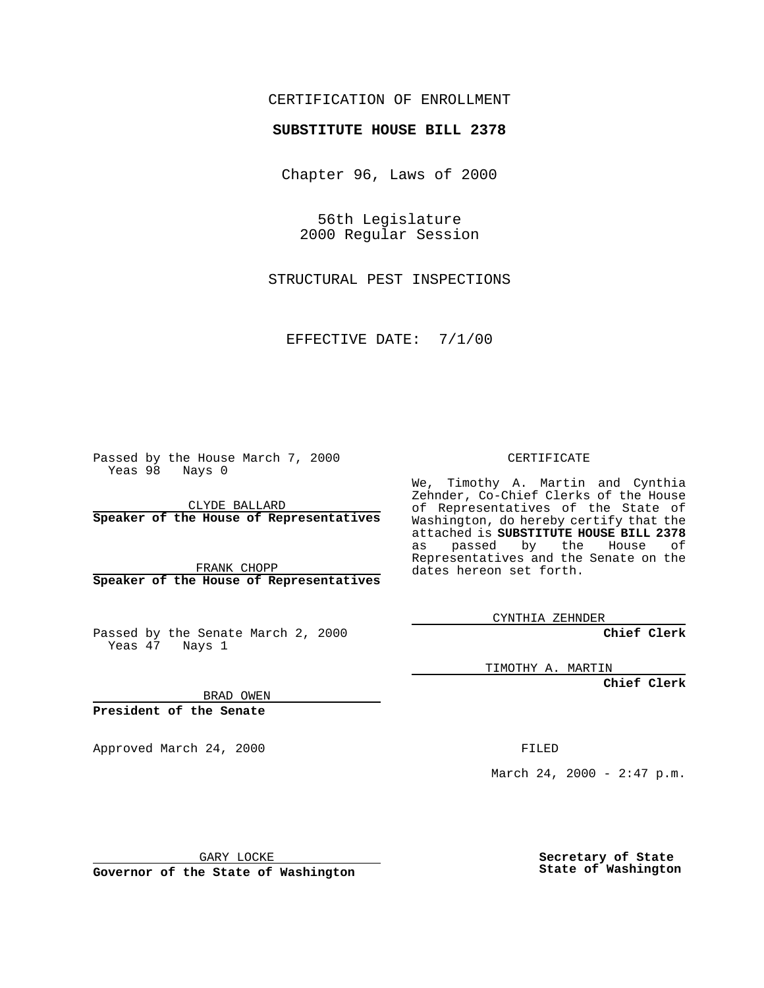### CERTIFICATION OF ENROLLMENT

# **SUBSTITUTE HOUSE BILL 2378**

Chapter 96, Laws of 2000

56th Legislature 2000 Regular Session

STRUCTURAL PEST INSPECTIONS

EFFECTIVE DATE: 7/1/00

Passed by the House March 7, 2000 Yeas 98 Nays 0

CLYDE BALLARD **Speaker of the House of Representatives**

FRANK CHOPP **Speaker of the House of Representatives**

Passed by the Senate March 2, 2000 Yeas 47 Nays 1

CERTIFICATE

We, Timothy A. Martin and Cynthia Zehnder, Co-Chief Clerks of the House of Representatives of the State of Washington, do hereby certify that the attached is **SUBSTITUTE HOUSE BILL 2378** as passed by the House of Representatives and the Senate on the dates hereon set forth.

CYNTHIA ZEHNDER

**Chief Clerk**

TIMOTHY A. MARTIN

**Chief Clerk**

BRAD OWEN

**President of the Senate**

Approved March 24, 2000 FILED

March 24, 2000 - 2:47 p.m.

GARY LOCKE

**Governor of the State of Washington**

**Secretary of State State of Washington**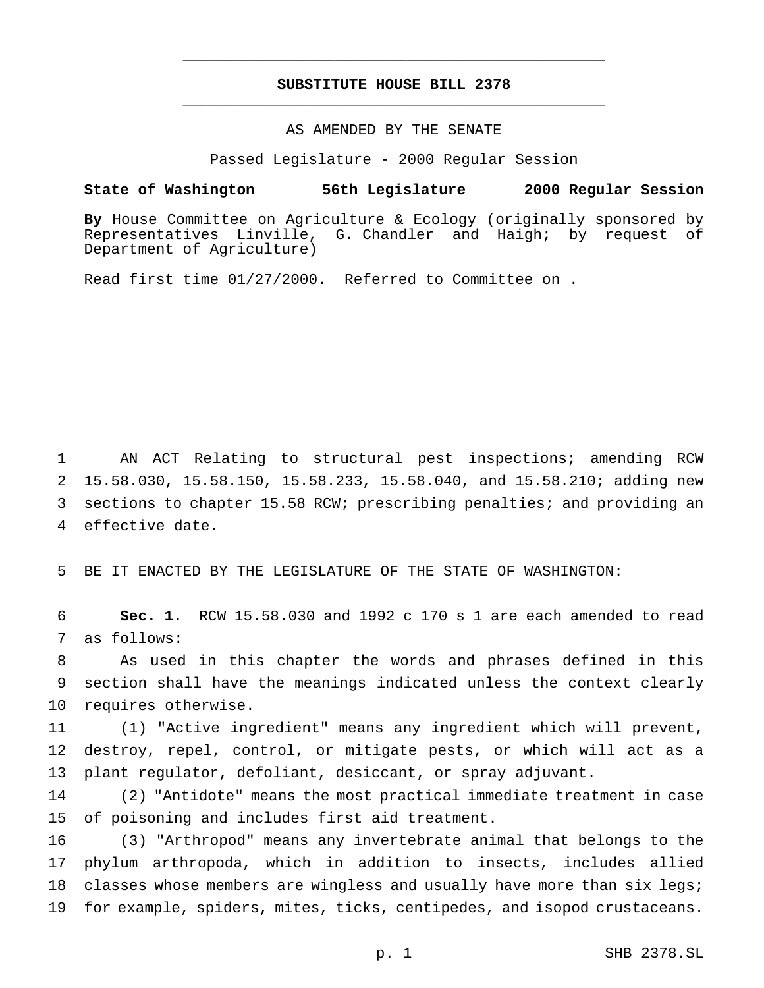# **SUBSTITUTE HOUSE BILL 2378** \_\_\_\_\_\_\_\_\_\_\_\_\_\_\_\_\_\_\_\_\_\_\_\_\_\_\_\_\_\_\_\_\_\_\_\_\_\_\_\_\_\_\_\_\_\_\_

\_\_\_\_\_\_\_\_\_\_\_\_\_\_\_\_\_\_\_\_\_\_\_\_\_\_\_\_\_\_\_\_\_\_\_\_\_\_\_\_\_\_\_\_\_\_\_

## AS AMENDED BY THE SENATE

Passed Legislature - 2000 Regular Session

#### **State of Washington 56th Legislature 2000 Regular Session**

**By** House Committee on Agriculture & Ecology (originally sponsored by Representatives Linville, G. Chandler and Haigh; by request of Department of Agriculture)

Read first time 01/27/2000. Referred to Committee on .

 AN ACT Relating to structural pest inspections; amending RCW 15.58.030, 15.58.150, 15.58.233, 15.58.040, and 15.58.210; adding new sections to chapter 15.58 RCW; prescribing penalties; and providing an effective date.

5 BE IT ENACTED BY THE LEGISLATURE OF THE STATE OF WASHINGTON:

6 **Sec. 1.** RCW 15.58.030 and 1992 c 170 s 1 are each amended to read 7 as follows:

8 As used in this chapter the words and phrases defined in this 9 section shall have the meanings indicated unless the context clearly 10 requires otherwise.

11 (1) "Active ingredient" means any ingredient which will prevent, 12 destroy, repel, control, or mitigate pests, or which will act as a 13 plant regulator, defoliant, desiccant, or spray adjuvant.

14 (2) "Antidote" means the most practical immediate treatment in case 15 of poisoning and includes first aid treatment.

 (3) "Arthropod" means any invertebrate animal that belongs to the phylum arthropoda, which in addition to insects, includes allied 18 classes whose members are wingless and usually have more than six legs; for example, spiders, mites, ticks, centipedes, and isopod crustaceans.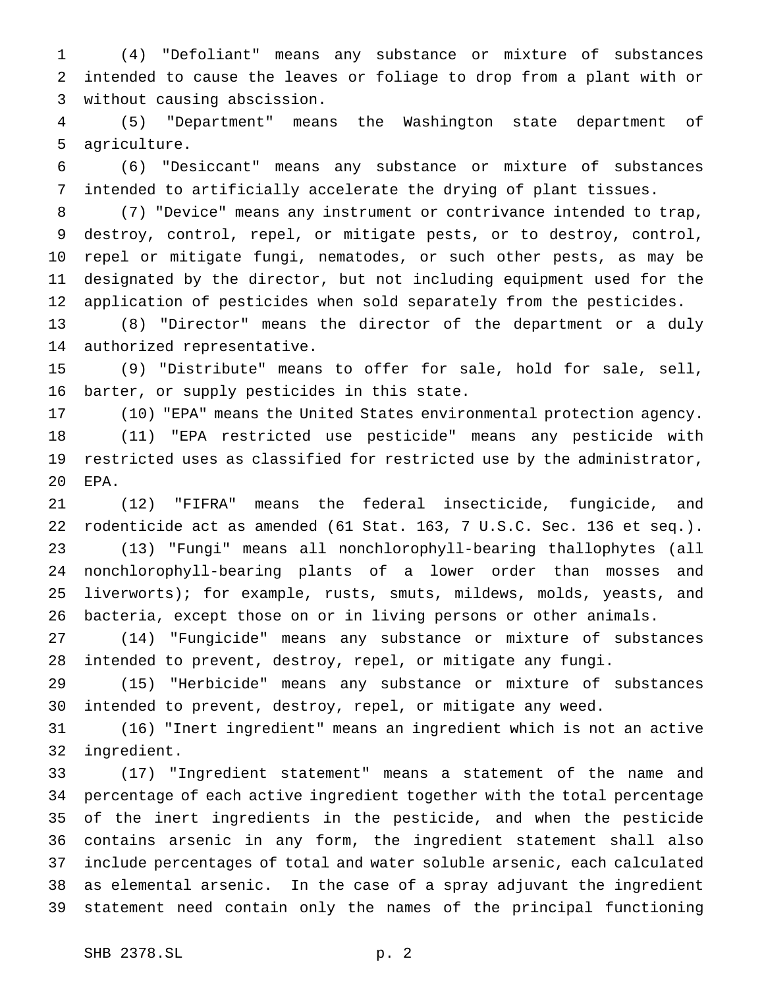(4) "Defoliant" means any substance or mixture of substances intended to cause the leaves or foliage to drop from a plant with or without causing abscission.

 (5) "Department" means the Washington state department of agriculture.

 (6) "Desiccant" means any substance or mixture of substances intended to artificially accelerate the drying of plant tissues.

 (7) "Device" means any instrument or contrivance intended to trap, destroy, control, repel, or mitigate pests, or to destroy, control, repel or mitigate fungi, nematodes, or such other pests, as may be designated by the director, but not including equipment used for the application of pesticides when sold separately from the pesticides.

 (8) "Director" means the director of the department or a duly authorized representative.

 (9) "Distribute" means to offer for sale, hold for sale, sell, barter, or supply pesticides in this state.

 (10) "EPA" means the United States environmental protection agency. (11) "EPA restricted use pesticide" means any pesticide with restricted uses as classified for restricted use by the administrator, EPA.

 (12) "FIFRA" means the federal insecticide, fungicide, and rodenticide act as amended (61 Stat. 163, 7 U.S.C. Sec. 136 et seq.). (13) "Fungi" means all nonchlorophyll-bearing thallophytes (all nonchlorophyll-bearing plants of a lower order than mosses and liverworts); for example, rusts, smuts, mildews, molds, yeasts, and bacteria, except those on or in living persons or other animals.

 (14) "Fungicide" means any substance or mixture of substances intended to prevent, destroy, repel, or mitigate any fungi.

 (15) "Herbicide" means any substance or mixture of substances intended to prevent, destroy, repel, or mitigate any weed.

 (16) "Inert ingredient" means an ingredient which is not an active ingredient.

 (17) "Ingredient statement" means a statement of the name and percentage of each active ingredient together with the total percentage of the inert ingredients in the pesticide, and when the pesticide contains arsenic in any form, the ingredient statement shall also include percentages of total and water soluble arsenic, each calculated as elemental arsenic. In the case of a spray adjuvant the ingredient statement need contain only the names of the principal functioning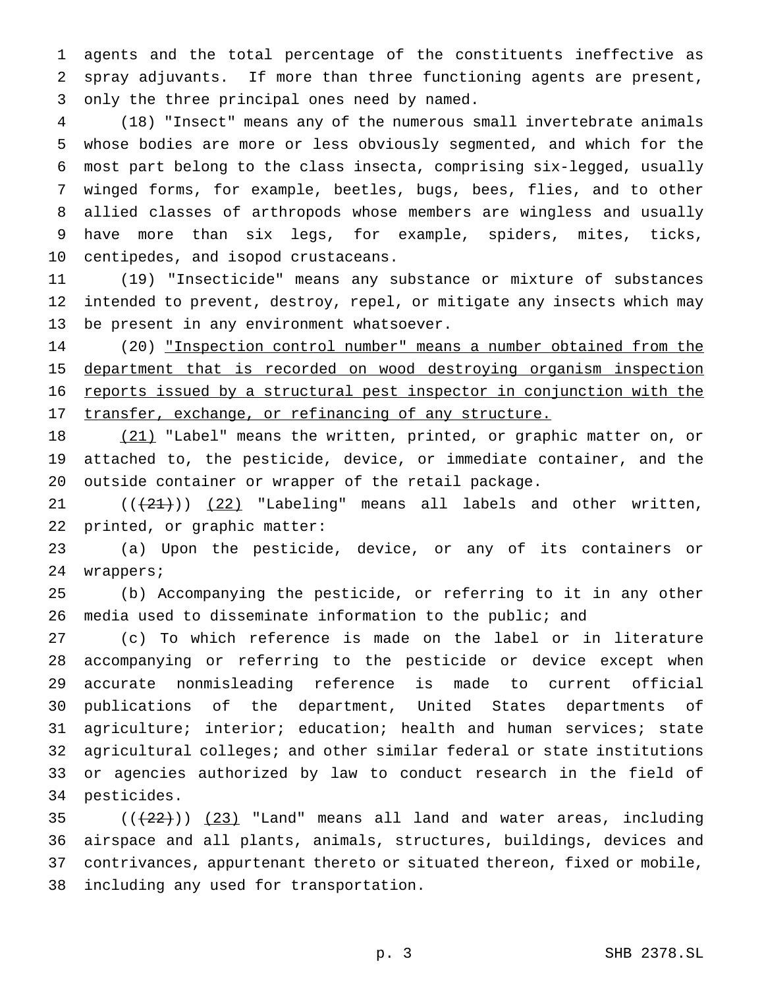agents and the total percentage of the constituents ineffective as spray adjuvants. If more than three functioning agents are present, only the three principal ones need by named.

 (18) "Insect" means any of the numerous small invertebrate animals whose bodies are more or less obviously segmented, and which for the most part belong to the class insecta, comprising six-legged, usually winged forms, for example, beetles, bugs, bees, flies, and to other allied classes of arthropods whose members are wingless and usually have more than six legs, for example, spiders, mites, ticks, centipedes, and isopod crustaceans.

 (19) "Insecticide" means any substance or mixture of substances intended to prevent, destroy, repel, or mitigate any insects which may be present in any environment whatsoever.

 (20) "Inspection control number" means a number obtained from the department that is recorded on wood destroying organism inspection reports issued by a structural pest inspector in conjunction with the 17 transfer, exchange, or refinancing of any structure.

18 (21) "Label" means the written, printed, or graphic matter on, or attached to, the pesticide, device, or immediate container, and the outside container or wrapper of the retail package.

 $((+21+))$   $(22)$  "Labeling" means all labels and other written, printed, or graphic matter:

 (a) Upon the pesticide, device, or any of its containers or wrappers;

 (b) Accompanying the pesticide, or referring to it in any other media used to disseminate information to the public; and

 (c) To which reference is made on the label or in literature accompanying or referring to the pesticide or device except when accurate nonmisleading reference is made to current official publications of the department, United States departments of agriculture; interior; education; health and human services; state agricultural colleges; and other similar federal or state institutions or agencies authorized by law to conduct research in the field of pesticides.

 $((22))$   $(23)$  "Land" means all land and water areas, including airspace and all plants, animals, structures, buildings, devices and contrivances, appurtenant thereto or situated thereon, fixed or mobile, including any used for transportation.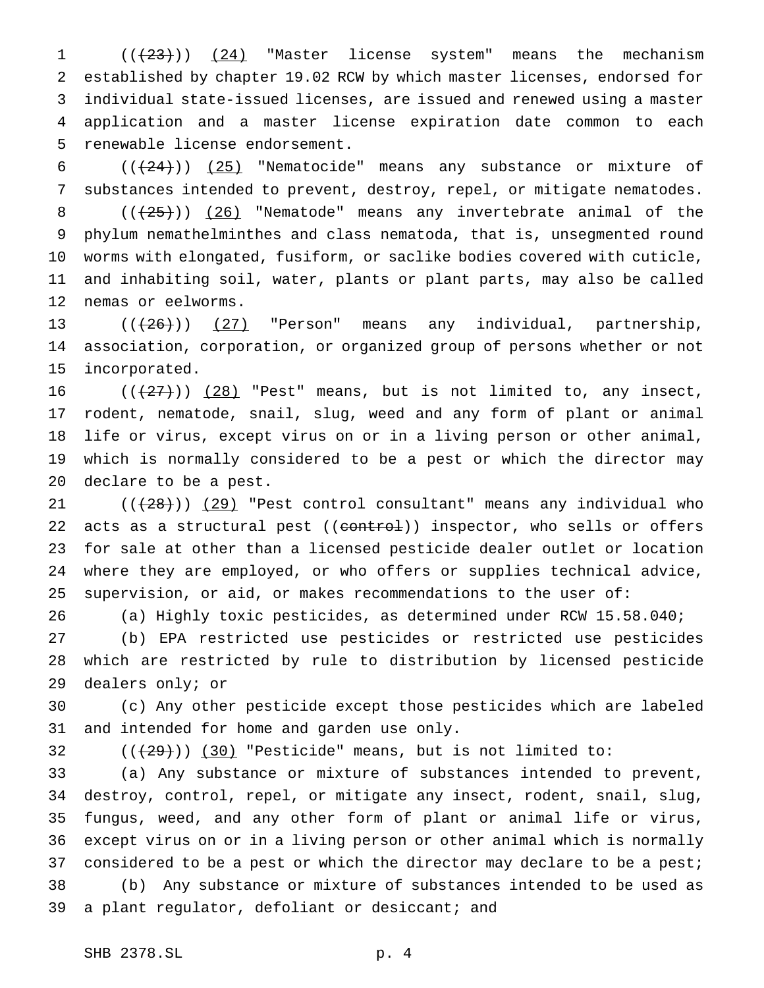1 (( $(23)$ )) (24) "Master license system" means the mechanism established by chapter 19.02 RCW by which master licenses, endorsed for individual state-issued licenses, are issued and renewed using a master application and a master license expiration date common to each renewable license endorsement.

 $((+24))$   $(25)$  "Nematocide" means any substance or mixture of substances intended to prevent, destroy, repel, or mitigate nematodes.  $((+25))$   $(26)$  "Nematode" means any invertebrate animal of the phylum nemathelminthes and class nematoda, that is, unsegmented round worms with elongated, fusiform, or saclike bodies covered with cuticle, and inhabiting soil, water, plants or plant parts, may also be called nemas or eelworms.

13 ((<del>(26)</del>)) (27) "Person" means any individual, partnership, association, corporation, or organized group of persons whether or not incorporated.

 $((+27))$   $(28)$  "Pest" means, but is not limited to, any insect, rodent, nematode, snail, slug, weed and any form of plant or animal life or virus, except virus on or in a living person or other animal, which is normally considered to be a pest or which the director may declare to be a pest.

 ( $(\frac{28}{10})$   $(29)$  "Pest control consultant" means any individual who 22 acts as a structural pest ((control)) inspector, who sells or offers for sale at other than a licensed pesticide dealer outlet or location where they are employed, or who offers or supplies technical advice, supervision, or aid, or makes recommendations to the user of:

(a) Highly toxic pesticides, as determined under RCW 15.58.040;

 (b) EPA restricted use pesticides or restricted use pesticides which are restricted by rule to distribution by licensed pesticide dealers only; or

 (c) Any other pesticide except those pesticides which are labeled and intended for home and garden use only.

32  $((+29))$   $(30)$  "Pesticide" means, but is not limited to:

 (a) Any substance or mixture of substances intended to prevent, destroy, control, repel, or mitigate any insect, rodent, snail, slug, fungus, weed, and any other form of plant or animal life or virus, except virus on or in a living person or other animal which is normally 37 considered to be a pest or which the director may declare to be a pest; (b) Any substance or mixture of substances intended to be used as 39 a plant regulator, defoliant or desiccant; and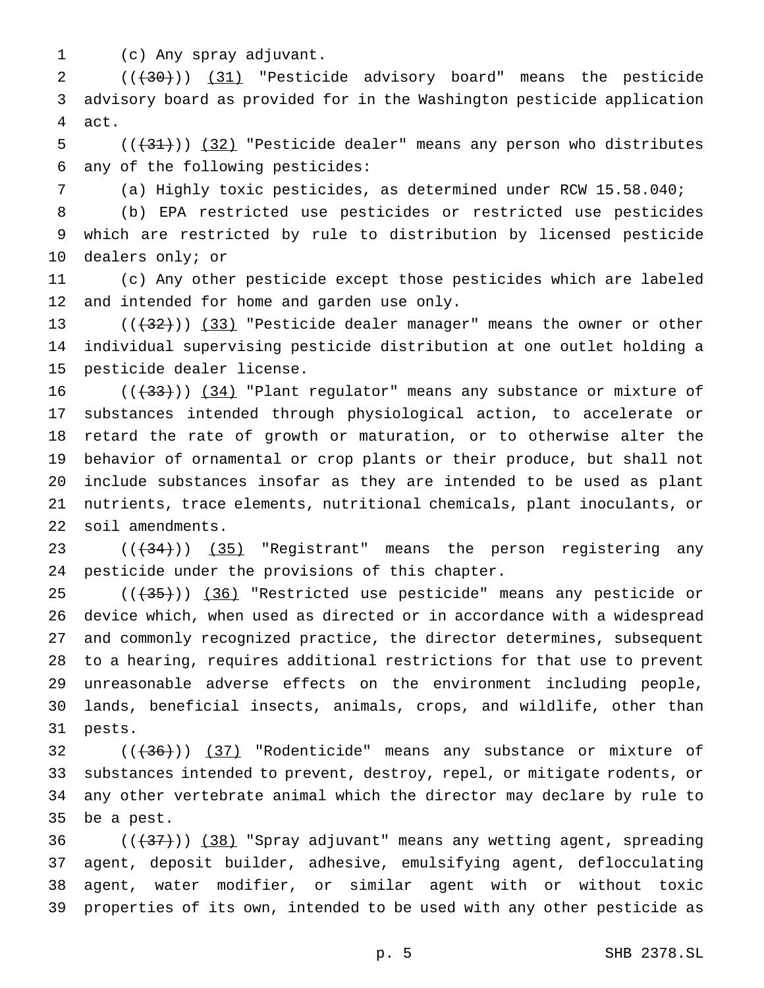(c) Any spray adjuvant.

2 (( $(30)$ )) (31) "Pesticide advisory board" means the pesticide advisory board as provided for in the Washington pesticide application act.

5  $((+31))$   $(32)$  "Pesticide dealer" means any person who distributes any of the following pesticides:

(a) Highly toxic pesticides, as determined under RCW 15.58.040;

 (b) EPA restricted use pesticides or restricted use pesticides which are restricted by rule to distribution by licensed pesticide dealers only; or

 (c) Any other pesticide except those pesticides which are labeled 12 and intended for home and garden use only.

13  $((+32))$   $(33)$  "Pesticide dealer manager" means the owner or other individual supervising pesticide distribution at one outlet holding a pesticide dealer license.

 $((+33))$   $(34)$  "Plant regulator" means any substance or mixture of substances intended through physiological action, to accelerate or retard the rate of growth or maturation, or to otherwise alter the behavior of ornamental or crop plants or their produce, but shall not include substances insofar as they are intended to be used as plant nutrients, trace elements, nutritional chemicals, plant inoculants, or soil amendments.

23 (( $(34)$ )) (35) "Registrant" means the person registering any pesticide under the provisions of this chapter.

25 (( $(35)$ )) (36) "Restricted use pesticide" means any pesticide or device which, when used as directed or in accordance with a widespread and commonly recognized practice, the director determines, subsequent to a hearing, requires additional restrictions for that use to prevent unreasonable adverse effects on the environment including people, lands, beneficial insects, animals, crops, and wildlife, other than pests.

 $((+36))$   $(37)$  "Rodenticide" means any substance or mixture of substances intended to prevent, destroy, repel, or mitigate rodents, or any other vertebrate animal which the director may declare by rule to be a pest.

 $((+37))$   $(38)$  "Spray adjuvant" means any wetting agent, spreading agent, deposit builder, adhesive, emulsifying agent, deflocculating agent, water modifier, or similar agent with or without toxic properties of its own, intended to be used with any other pesticide as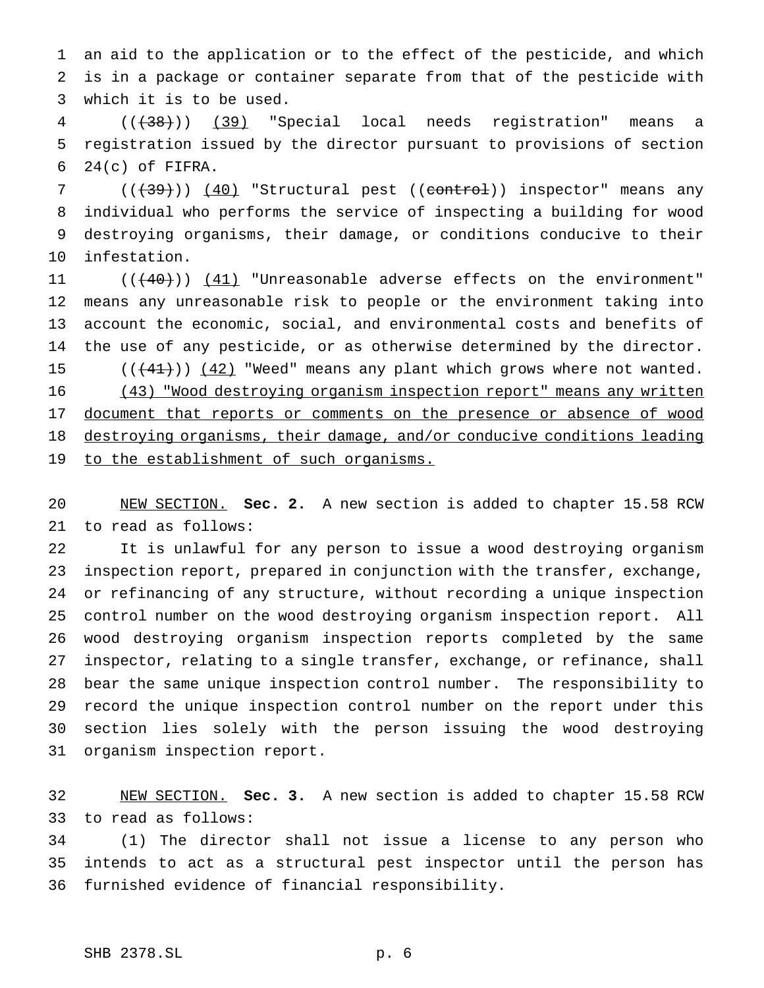an aid to the application or to the effect of the pesticide, and which is in a package or container separate from that of the pesticide with which it is to be used.

 (((38))) (39) "Special local needs registration" means a registration issued by the director pursuant to provisions of section  $24(c)$  of FIFRA.

7 (((39))) (40) "Structural pest ((control)) inspector" means any individual who performs the service of inspecting a building for wood destroying organisms, their damage, or conditions conducive to their infestation.

11 ((<del>(40)</del>)) <u>(41)</u> "Unreasonable adverse effects on the environment" means any unreasonable risk to people or the environment taking into account the economic, social, and environmental costs and benefits of the use of any pesticide, or as otherwise determined by the director. 15  $((+41))$   $(42)$  "Weed" means any plant which grows where not wanted. 16 (43) "Wood destroying organism inspection report" means any written 17 document that reports or comments on the presence or absence of wood destroying organisms, their damage, and/or conducive conditions leading 19 to the establishment of such organisms.

 NEW SECTION. **Sec. 2.** A new section is added to chapter 15.58 RCW to read as follows:

 It is unlawful for any person to issue a wood destroying organism inspection report, prepared in conjunction with the transfer, exchange, or refinancing of any structure, without recording a unique inspection control number on the wood destroying organism inspection report. All wood destroying organism inspection reports completed by the same inspector, relating to a single transfer, exchange, or refinance, shall bear the same unique inspection control number. The responsibility to record the unique inspection control number on the report under this section lies solely with the person issuing the wood destroying organism inspection report.

 NEW SECTION. **Sec. 3.** A new section is added to chapter 15.58 RCW to read as follows:

 (1) The director shall not issue a license to any person who intends to act as a structural pest inspector until the person has furnished evidence of financial responsibility.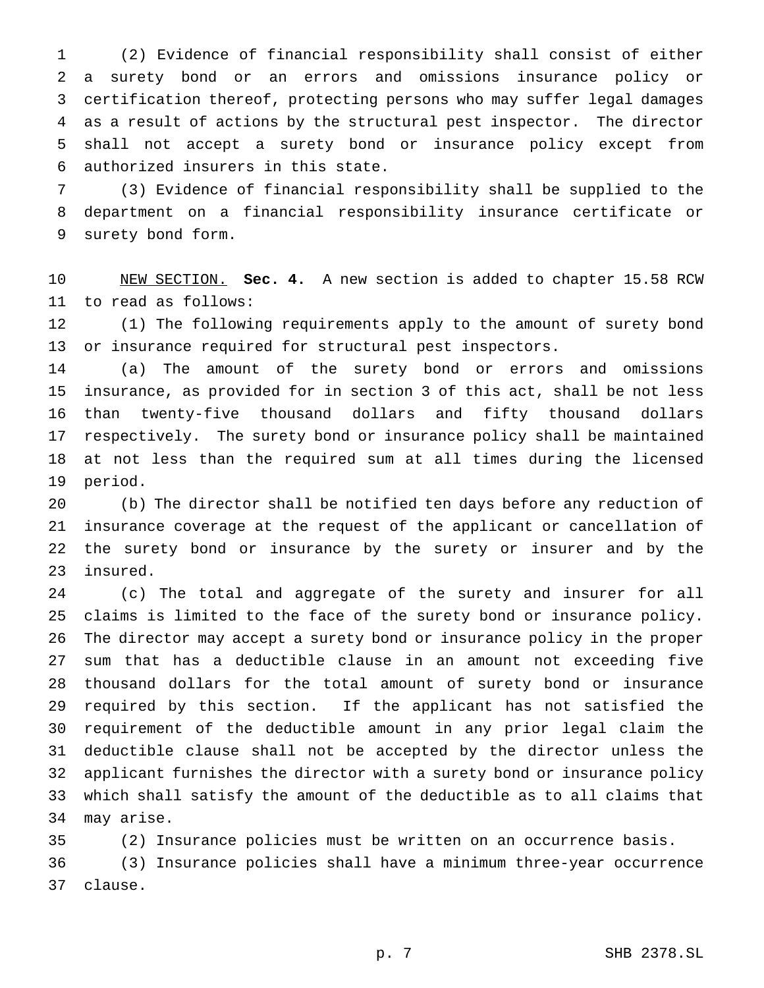(2) Evidence of financial responsibility shall consist of either a surety bond or an errors and omissions insurance policy or certification thereof, protecting persons who may suffer legal damages as a result of actions by the structural pest inspector. The director shall not accept a surety bond or insurance policy except from authorized insurers in this state.

 (3) Evidence of financial responsibility shall be supplied to the department on a financial responsibility insurance certificate or surety bond form.

 NEW SECTION. **Sec. 4.** A new section is added to chapter 15.58 RCW to read as follows:

 (1) The following requirements apply to the amount of surety bond or insurance required for structural pest inspectors.

 (a) The amount of the surety bond or errors and omissions insurance, as provided for in section 3 of this act, shall be not less than twenty-five thousand dollars and fifty thousand dollars respectively. The surety bond or insurance policy shall be maintained at not less than the required sum at all times during the licensed period.

 (b) The director shall be notified ten days before any reduction of insurance coverage at the request of the applicant or cancellation of the surety bond or insurance by the surety or insurer and by the insured.

 (c) The total and aggregate of the surety and insurer for all claims is limited to the face of the surety bond or insurance policy. The director may accept a surety bond or insurance policy in the proper sum that has a deductible clause in an amount not exceeding five thousand dollars for the total amount of surety bond or insurance required by this section. If the applicant has not satisfied the requirement of the deductible amount in any prior legal claim the deductible clause shall not be accepted by the director unless the applicant furnishes the director with a surety bond or insurance policy which shall satisfy the amount of the deductible as to all claims that may arise.

 (2) Insurance policies must be written on an occurrence basis. (3) Insurance policies shall have a minimum three-year occurrence clause.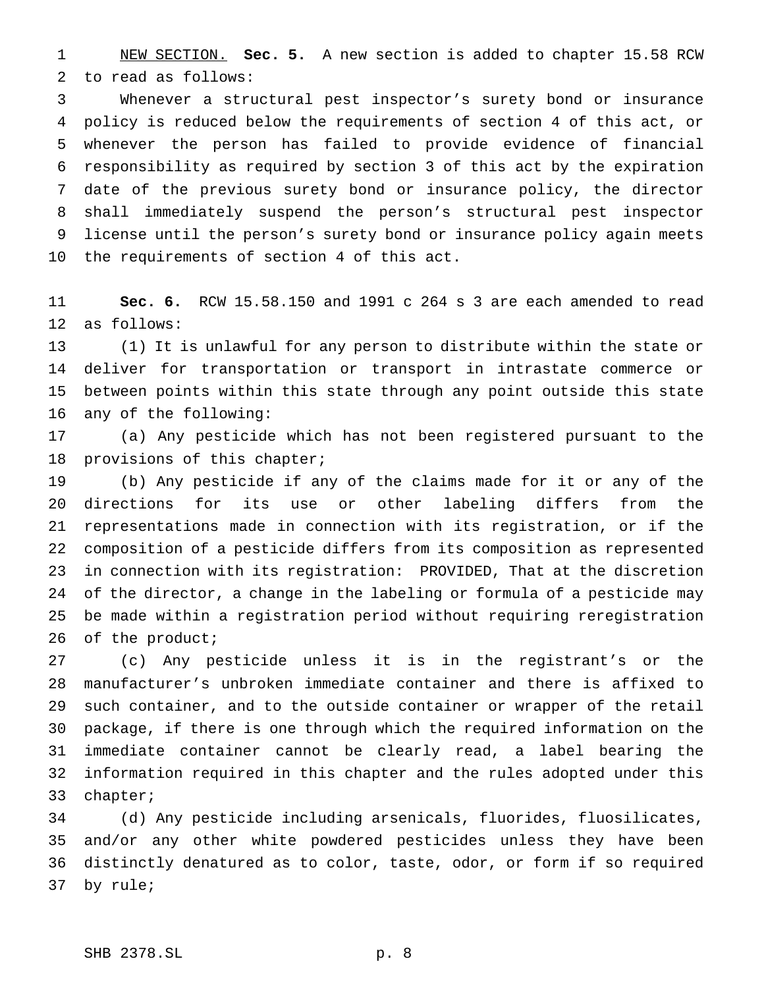NEW SECTION. **Sec. 5.** A new section is added to chapter 15.58 RCW to read as follows:

 Whenever a structural pest inspector's surety bond or insurance policy is reduced below the requirements of section 4 of this act, or whenever the person has failed to provide evidence of financial responsibility as required by section 3 of this act by the expiration date of the previous surety bond or insurance policy, the director shall immediately suspend the person's structural pest inspector license until the person's surety bond or insurance policy again meets the requirements of section 4 of this act.

 **Sec. 6.** RCW 15.58.150 and 1991 c 264 s 3 are each amended to read as follows:

 (1) It is unlawful for any person to distribute within the state or deliver for transportation or transport in intrastate commerce or between points within this state through any point outside this state any of the following:

 (a) Any pesticide which has not been registered pursuant to the provisions of this chapter;

 (b) Any pesticide if any of the claims made for it or any of the directions for its use or other labeling differs from the representations made in connection with its registration, or if the composition of a pesticide differs from its composition as represented in connection with its registration: PROVIDED, That at the discretion of the director, a change in the labeling or formula of a pesticide may be made within a registration period without requiring reregistration 26 of the product;

 (c) Any pesticide unless it is in the registrant's or the manufacturer's unbroken immediate container and there is affixed to such container, and to the outside container or wrapper of the retail package, if there is one through which the required information on the immediate container cannot be clearly read, a label bearing the information required in this chapter and the rules adopted under this chapter;

 (d) Any pesticide including arsenicals, fluorides, fluosilicates, and/or any other white powdered pesticides unless they have been distinctly denatured as to color, taste, odor, or form if so required by rule;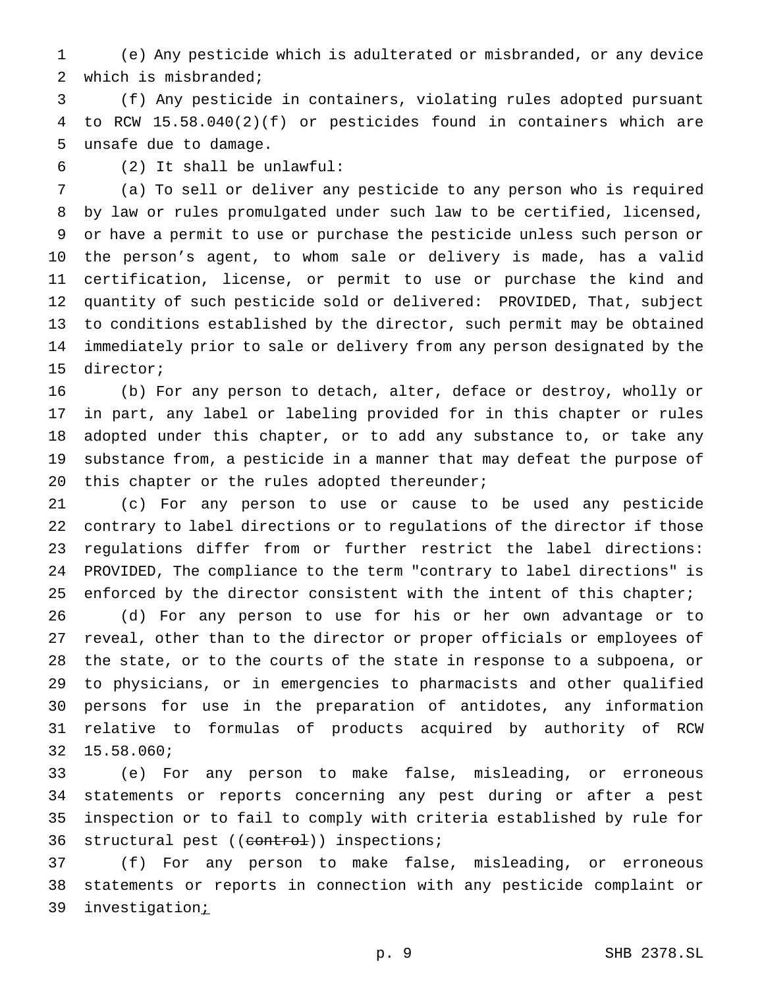(e) Any pesticide which is adulterated or misbranded, or any device which is misbranded;

 (f) Any pesticide in containers, violating rules adopted pursuant to RCW 15.58.040(2)(f) or pesticides found in containers which are unsafe due to damage.

(2) It shall be unlawful:

 (a) To sell or deliver any pesticide to any person who is required by law or rules promulgated under such law to be certified, licensed, or have a permit to use or purchase the pesticide unless such person or the person's agent, to whom sale or delivery is made, has a valid certification, license, or permit to use or purchase the kind and quantity of such pesticide sold or delivered: PROVIDED, That, subject to conditions established by the director, such permit may be obtained immediately prior to sale or delivery from any person designated by the director;

 (b) For any person to detach, alter, deface or destroy, wholly or in part, any label or labeling provided for in this chapter or rules adopted under this chapter, or to add any substance to, or take any substance from, a pesticide in a manner that may defeat the purpose of 20 this chapter or the rules adopted thereunder;

 (c) For any person to use or cause to be used any pesticide contrary to label directions or to regulations of the director if those regulations differ from or further restrict the label directions: PROVIDED, The compliance to the term "contrary to label directions" is 25 enforced by the director consistent with the intent of this chapter;

 (d) For any person to use for his or her own advantage or to reveal, other than to the director or proper officials or employees of the state, or to the courts of the state in response to a subpoena, or to physicians, or in emergencies to pharmacists and other qualified persons for use in the preparation of antidotes, any information relative to formulas of products acquired by authority of RCW 15.58.060;

 (e) For any person to make false, misleading, or erroneous statements or reports concerning any pest during or after a pest inspection or to fail to comply with criteria established by rule for 36 structural pest ((control)) inspections;

 (f) For any person to make false, misleading, or erroneous statements or reports in connection with any pesticide complaint or 39 investigation;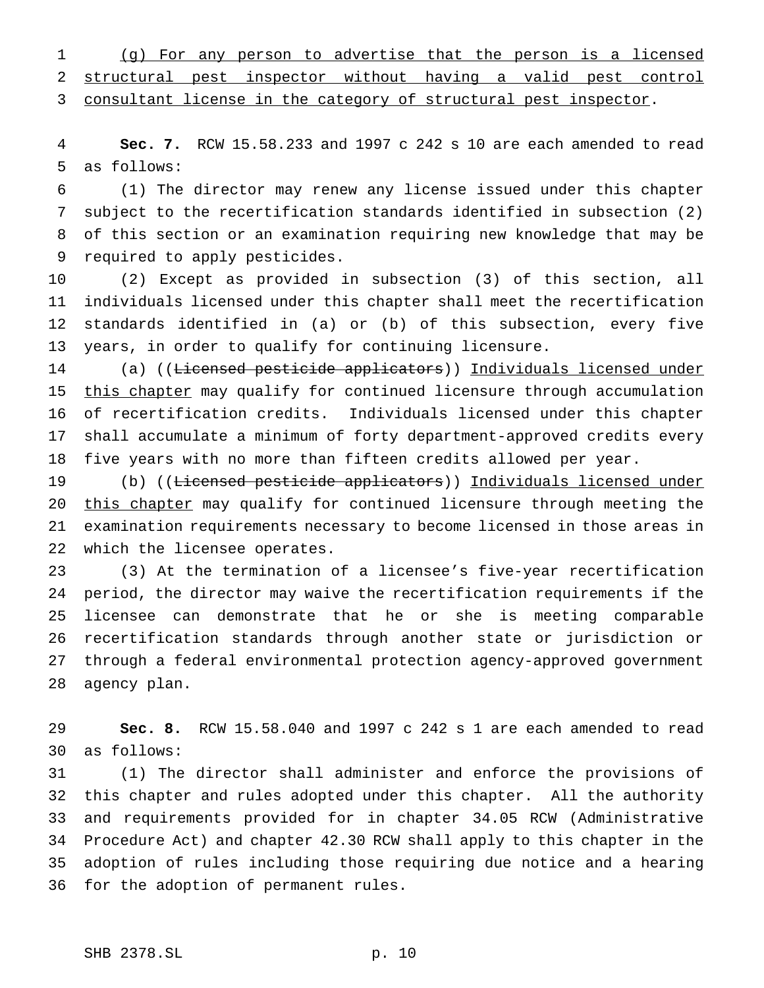(g) For any person to advertise that the person is a licensed structural pest inspector without having a valid pest control

3 consultant license in the category of structural pest inspector.

 **Sec. 7.** RCW 15.58.233 and 1997 c 242 s 10 are each amended to read as follows:

 (1) The director may renew any license issued under this chapter subject to the recertification standards identified in subsection (2) of this section or an examination requiring new knowledge that may be required to apply pesticides.

 (2) Except as provided in subsection (3) of this section, all individuals licensed under this chapter shall meet the recertification standards identified in (a) or (b) of this subsection, every five years, in order to qualify for continuing licensure.

 (a) ((Licensed pesticide applicators)) Individuals licensed under 15 this chapter may qualify for continued licensure through accumulation of recertification credits. Individuals licensed under this chapter shall accumulate a minimum of forty department-approved credits every five years with no more than fifteen credits allowed per year.

 (b) ((Licensed pesticide applicators)) Individuals licensed under 20 this chapter may qualify for continued licensure through meeting the examination requirements necessary to become licensed in those areas in which the licensee operates.

 (3) At the termination of a licensee's five-year recertification period, the director may waive the recertification requirements if the licensee can demonstrate that he or she is meeting comparable recertification standards through another state or jurisdiction or through a federal environmental protection agency-approved government agency plan.

 **Sec. 8.** RCW 15.58.040 and 1997 c 242 s 1 are each amended to read as follows:

 (1) The director shall administer and enforce the provisions of this chapter and rules adopted under this chapter. All the authority and requirements provided for in chapter 34.05 RCW (Administrative Procedure Act) and chapter 42.30 RCW shall apply to this chapter in the adoption of rules including those requiring due notice and a hearing for the adoption of permanent rules.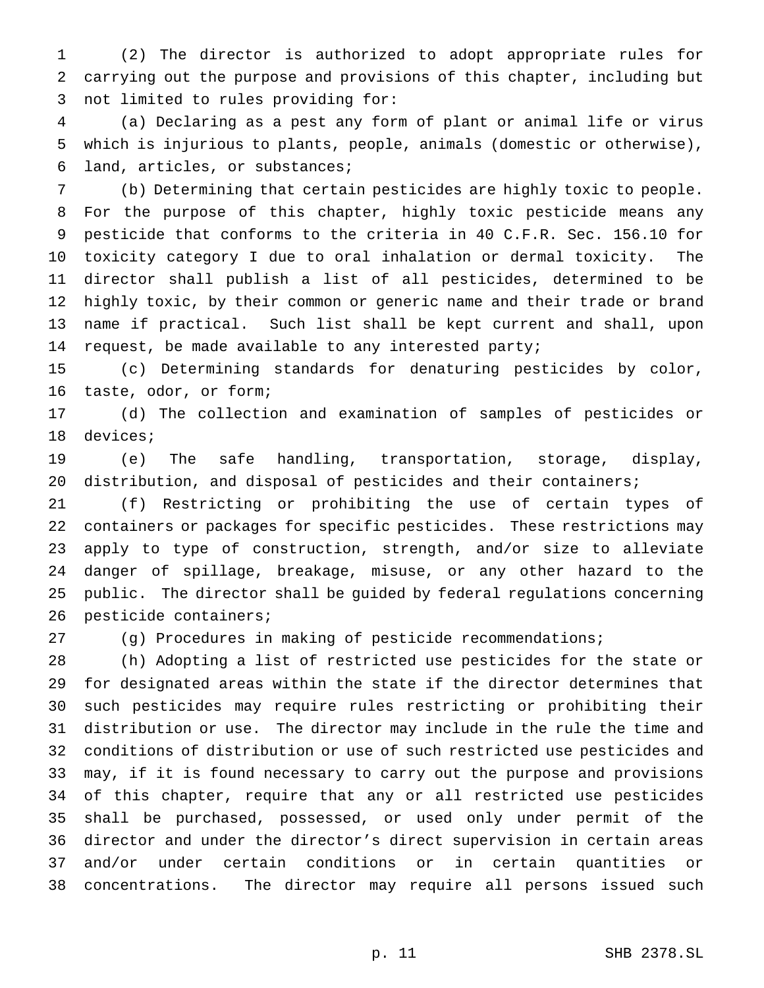(2) The director is authorized to adopt appropriate rules for carrying out the purpose and provisions of this chapter, including but not limited to rules providing for:

 (a) Declaring as a pest any form of plant or animal life or virus which is injurious to plants, people, animals (domestic or otherwise), land, articles, or substances;

 (b) Determining that certain pesticides are highly toxic to people. For the purpose of this chapter, highly toxic pesticide means any pesticide that conforms to the criteria in 40 C.F.R. Sec. 156.10 for toxicity category I due to oral inhalation or dermal toxicity. The director shall publish a list of all pesticides, determined to be highly toxic, by their common or generic name and their trade or brand name if practical. Such list shall be kept current and shall, upon request, be made available to any interested party;

 (c) Determining standards for denaturing pesticides by color, taste, odor, or form;

 (d) The collection and examination of samples of pesticides or devices;

 (e) The safe handling, transportation, storage, display, distribution, and disposal of pesticides and their containers;

 (f) Restricting or prohibiting the use of certain types of containers or packages for specific pesticides. These restrictions may apply to type of construction, strength, and/or size to alleviate danger of spillage, breakage, misuse, or any other hazard to the public. The director shall be guided by federal regulations concerning pesticide containers;

(g) Procedures in making of pesticide recommendations;

 (h) Adopting a list of restricted use pesticides for the state or for designated areas within the state if the director determines that such pesticides may require rules restricting or prohibiting their distribution or use. The director may include in the rule the time and conditions of distribution or use of such restricted use pesticides and may, if it is found necessary to carry out the purpose and provisions of this chapter, require that any or all restricted use pesticides shall be purchased, possessed, or used only under permit of the director and under the director's direct supervision in certain areas and/or under certain conditions or in certain quantities or concentrations. The director may require all persons issued such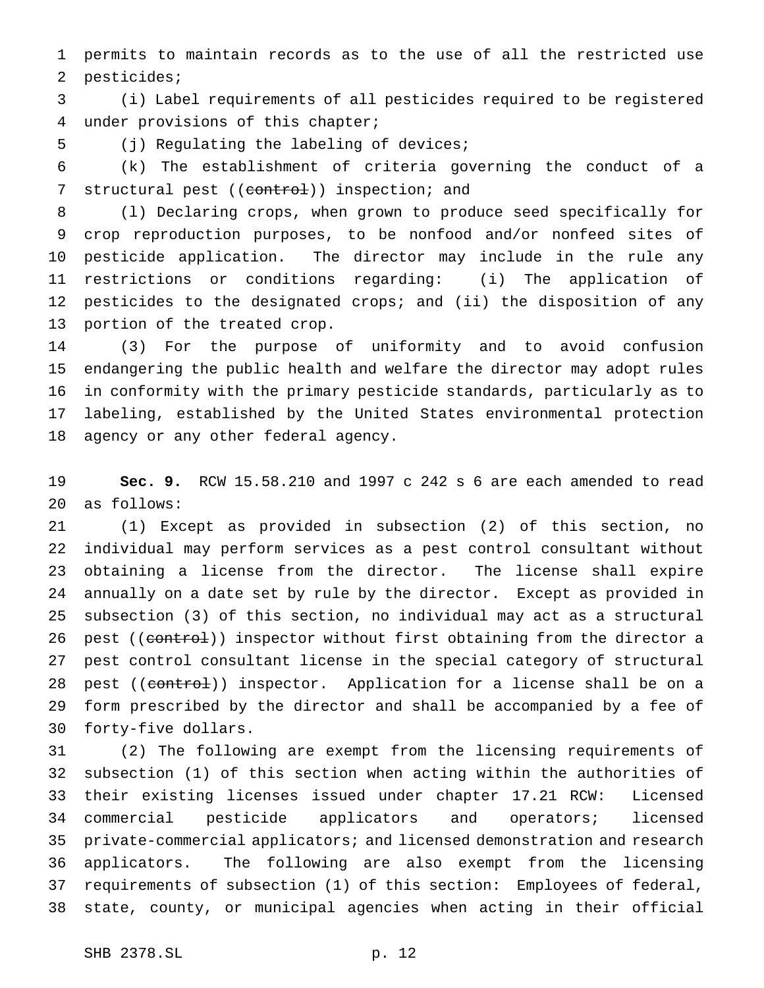permits to maintain records as to the use of all the restricted use pesticides;

 (i) Label requirements of all pesticides required to be registered under provisions of this chapter;

(j) Regulating the labeling of devices;

 (k) The establishment of criteria governing the conduct of a 7 structural pest ((control)) inspection; and

 (l) Declaring crops, when grown to produce seed specifically for crop reproduction purposes, to be nonfood and/or nonfeed sites of pesticide application. The director may include in the rule any restrictions or conditions regarding: (i) The application of pesticides to the designated crops; and (ii) the disposition of any portion of the treated crop.

 (3) For the purpose of uniformity and to avoid confusion endangering the public health and welfare the director may adopt rules in conformity with the primary pesticide standards, particularly as to labeling, established by the United States environmental protection agency or any other federal agency.

 **Sec. 9.** RCW 15.58.210 and 1997 c 242 s 6 are each amended to read as follows:

 (1) Except as provided in subsection (2) of this section, no individual may perform services as a pest control consultant without obtaining a license from the director. The license shall expire annually on a date set by rule by the director. Except as provided in subsection (3) of this section, no individual may act as a structural 26 pest ((control)) inspector without first obtaining from the director a pest control consultant license in the special category of structural 28 pest ((control)) inspector. Application for a license shall be on a form prescribed by the director and shall be accompanied by a fee of forty-five dollars.

 (2) The following are exempt from the licensing requirements of subsection (1) of this section when acting within the authorities of their existing licenses issued under chapter 17.21 RCW: Licensed commercial pesticide applicators and operators; licensed private-commercial applicators; and licensed demonstration and research applicators. The following are also exempt from the licensing requirements of subsection (1) of this section: Employees of federal, state, county, or municipal agencies when acting in their official